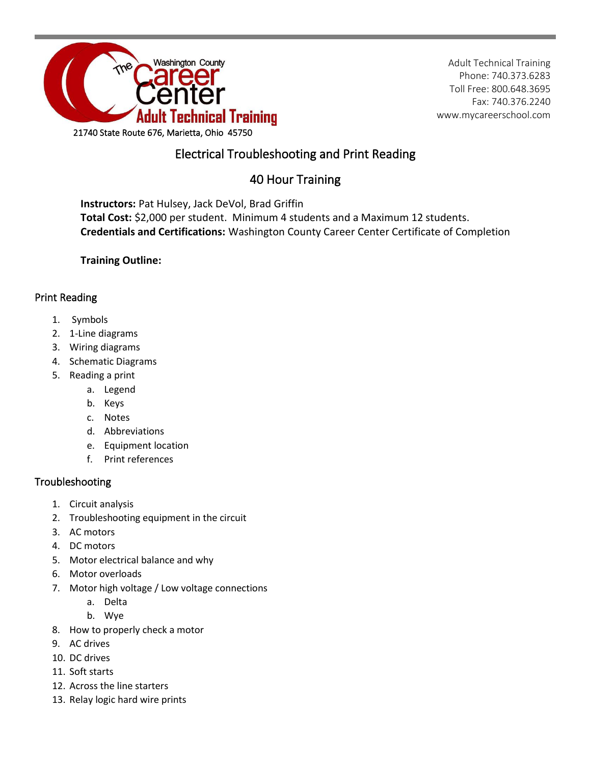

Adult Technical Training Phone: 740.373.6283 Toll Free: 800.648.3695 Fax: 740.376.2240 www.mycareerschool.com

## Electrical Troubleshooting and Print Reading

# 40 Hour Training

**Instructors:** Pat Hulsey, Jack DeVol, Brad Griffin **Total Cost:** \$2,000 per student. Minimum 4 students and a Maximum 12 students. **Credentials and Certifications:** Washington County Career Center Certificate of Completion

**Training Outline:**

### Print Reading

- 1. Symbols
- 2. 1-Line diagrams
- 3. Wiring diagrams
- 4. Schematic Diagrams
- 5. Reading a print
	- a. Legend
	- b. Keys
	- c. Notes
	- d. Abbreviations
	- e. Equipment location
	- f. Print references

### Troubleshooting

- 1. Circuit analysis
- 2. Troubleshooting equipment in the circuit
- 3. AC motors
- 4. DC motors
- 5. Motor electrical balance and why
- 6. Motor overloads
- 7. Motor high voltage / Low voltage connections
	- a. Delta
	- b. Wye
- 8. How to properly check a motor
- 9. AC drives
- 10. DC drives
- 11. Soft starts
- 12. Across the line starters
- 13. Relay logic hard wire prints